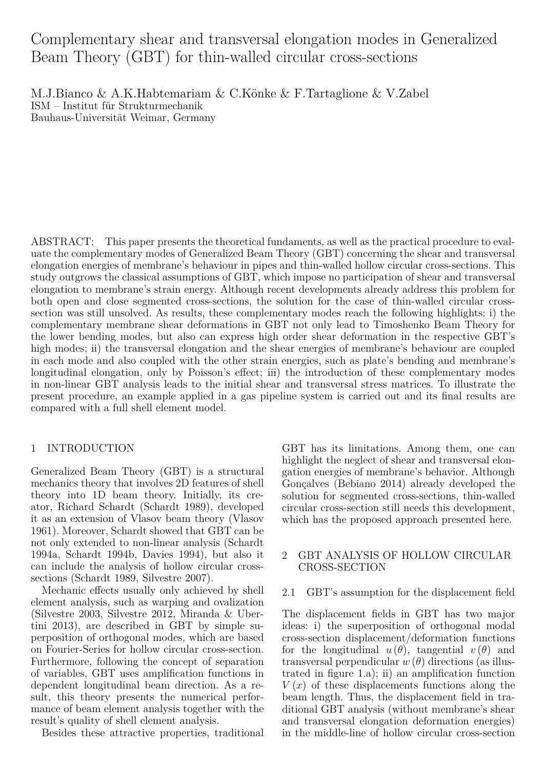Complementary shear and transversal elongation modes in Generalized Beam Theory (GBT) for thin-walled circular cross-sections

M.J.Bianco & A.K.Habtemariam & C.Könke & F.Tartaglione & V.Zabel ISM – Institut für Strukturmechanik Bauhaus-Universität Weimar, Germany

ABSTRACT: This paper presents the theoretical fundaments, as well as the practical procedure to evaluate the complementary modes of Generalized Beam Theory (GBT) concerning the shear and transversal elongation energies of membrane's behaviour in pipes and thin-walled hollow circular cross-sections. This study outgrows the classical assumptions of GBT, which impose no participation of shear and transversal elongation to membrane's strain energy. Although recent developments already address this problem for both open and close segmented cross-sections, the solution for the case of thin-walled circular crosssection was still unsolved. As results, these complementary modes reach the following highlights: i) the complementary membrane shear deformations in GBT not only lead to Timoshenko Beam Theory for the lower bending modes, but also can express high order shear deformation in the respective GBT's high modes; ii) the transversal elongation and the shear energies of membrane's behaviour are coupled in each mode and also coupled with the other strain energies, such as plate's bending and membrane's longitudinal elongation, only by Poisson's effect; iii) the introduction of these complementary modes in non-linear GBT analysis leads to the initial shear and transversal stress matrices. To illustrate the present procedure, an example applied in a gas pipeline system is carried out and its final results are compared with a full shell element model.

## 1 INTRODUCTION

Generalized Beam Theory (GBT) is a structural mechanics theory that involves 2D features of shell theory into 1D beam theory. Initially, its creator, Richard Schardt (Schardt 1989), developed it as an extension of Vlasov beam theory (Vlasov 1961). Moreover, Schardt showed that GBT can be not only extended to non-linear analysis (Schardt 1994a, Schardt 1994b, Davies 1994), but also it can include the analysis of hollow circular crosssections (Schardt 1989, Silvestre 2007).

Mechanic effects usually only achieved by shell element analysis, such as warping and ovalization (Silvestre 2003, Silvestre 2012, Miranda & Ubertini 2013), are described in GBT by simple superposition of orthogonal modes, which are based on Fourier-Series for hollow circular cross-section. Furthermore, following the concept of separation of variables, GBT uses amplification functions in dependent longitudinal beam direction. As a result, this theory presents the numerical performance of beam element analysis together with the result's quality of shell element analysis.

Besides these attractive properties, traditional

GBT has its limitations. Among them, one can highlight the neglect of shear and transversal elongation energies of membrane's behavior. Although Gonçalves (Bebiano 2014) already developed the solution for segmented cross-sections, thin-walled circular cross-section still needs this development, which has the proposed approach presented here.

## 2 GBT ANALYSIS OF HOLLOW CIRCULAR CROSS-SECTION

## 2.1 GBT's assumption for the displacement field

The displacement fields in GBT has two major ideas: i) the superposition of orthogonal modal cross-section displacement/deformation functions for the longitudinal  $u(\theta)$ , tangential  $v(\theta)$  and transversal perpendicular  $w(\theta)$  directions (as illustrated in figure 1.a); ii) an amplification function  $V(x)$  of these displacements functions along the beam length. Thus, the displacement field in traditional GBT analysis (without membrane's shear and transversal elongation deformation energies) in the middle-line of hollow circular cross-section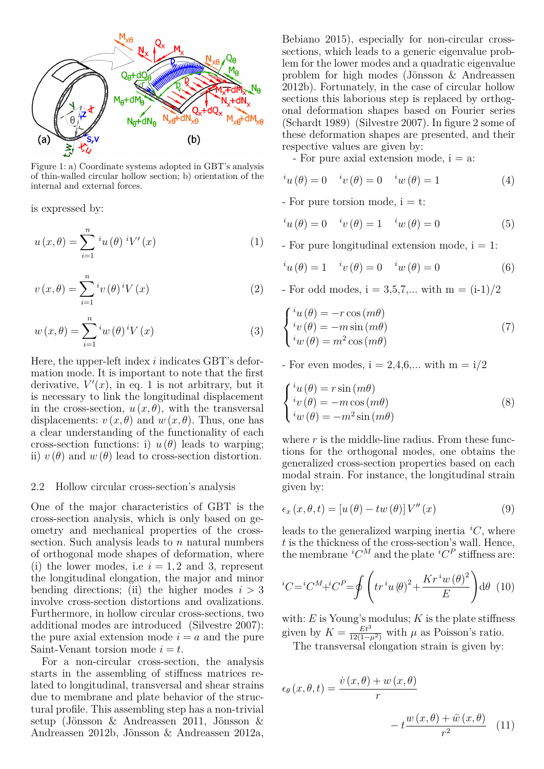

Figure 1: a) Coordinate systems adopted in GBT's analysis of thin-walled circular hollow section; b) orientation of the internal and external forces.

is expressed by:

$$
u(x,\theta) = \sum_{i=1}^{n} {}^{i}u(\theta) {}^{i}V'(x)
$$
 (1)

$$
v(x,\theta) = \sum_{i=1}^{n} {}^{i}v(\theta) {}^{i}V(x)
$$
 (2)

$$
w(x,\theta) = \sum_{i=1}^{n} {}^{i}w(\theta) {}^{i}V(x)
$$
 (3)

Here, the upper-left index *i* indicates GBT's deformation mode. It is important to note that the first derivative,  $V'(x)$ , in eq. 1 is not arbitrary, but it is necessary to link the longitudinal displacement in the cross-section,  $u(x, \theta)$ , with the transversal displacements:  $v(x, \theta)$  and  $w(x, \theta)$ . Thus, one has a clear understanding of the functionality of each cross-section functions: i)  $u(\theta)$  leads to warping; ii)  $v(\theta)$  and  $w(\theta)$  lead to cross-section distortion.

### 2.2 Hollow circular cross-section's analysis

One of the major characteristics of GBT is the cross-section analysis, which is only based on geometry and mechanical properties of the crosssection. Such analysis leads to *n* natural numbers of orthogonal mode shapes of deformation, where (i) the lower modes, i.e  $i = 1, 2$  and 3, represent the longitudinal elongation, the major and minor bending directions; (ii) the higher modes  $i > 3$ involve cross-section distortions and ovalizations. Furthermore, in hollow circular cross-sections, two additional modes are introduced (Silvestre 2007): the pure axial extension mode  $i = a$  and the pure Saint-Venant torsion mode  $i = t$ .

For a non-circular cross-section, the analysis starts in the assembling of stiffness matrices related to longitudinal, transversal and shear strains due to membrane and plate behavior of the structural profile. This assembling step has a non-trivial setup (Jönsson & Andreassen 2011, Jönsson & Andreassen 2012b, Jönsson & Andreassen 2012a,

Bebiano 2015), especially for non-circular crosssections, which leads to a generic eigenvalue problem for the lower modes and a quadratic eigenvalue problem for high modes (Jönsson & Andreassen 2012b). Fortunately, in the case of circular hollow sections this laborious step is replaced by orthogonal deformation shapes based on Fourier series (Schardt 1989) (Silvestre 2007). In figure 2 some of these deformation shapes are presented, and their respective values are given by:

 $-$  For pure axial extension mode,  $i = a$ :

$$
{}^{i}u(\theta) = 0 \quad {}^{i}v(\theta) = 0 \quad {}^{i}w(\theta) = 1 \tag{4}
$$

- For pure torsion mode,  $i = t$ :

$$
{}^{i}u(\theta) = 0 \quad {}^{i}v(\theta) = 1 \quad {}^{i}w(\theta) = 0
$$
 (5)

 $-$  For pure longitudinal extension mode,  $i = 1$ :

$$
{}^{i}u(\theta) = 1 \quad {}^{i}v(\theta) = 0 \quad {}^{i}w(\theta) = 0 \tag{6}
$$

- For odd modes,  $i = 3.5,7,...$  with  $m = (i-1)/2$ 

$$
\begin{cases}\n^{i}u(\theta) = -r\cos(m\theta) \\
^{i}v(\theta) = -m\sin(m\theta) \\
^{i}w(\theta) = m^2\cos(m\theta)\n\end{cases} (7)
$$

- For even modes,  $i = 2, 4, 6, \dots$  with  $m = i/2$ 

$$
\begin{cases}\n^{i}u(\theta) = r\sin(m\theta) \\
^{i}v(\theta) = -m\cos(m\theta) \\
^{i}w(\theta) = -m^{2}\sin(m\theta)\n\end{cases}
$$
\n(8)

where  $r$  is the middle-line radius. From these functions for the orthogonal modes, one obtains the generalized cross-section properties based on each modal strain. For instance, the longitudinal strain given by:

$$
\epsilon_x(x,\theta,t) = [u(\theta) - tw(\theta)]V''(x)
$$
\n(9)

leads to the generalized warping inertia  ${}^{i}C$ , where *t* is the thickness of the cross-section's wall. Hence, the membrane  ${}^{i}C^{M}$  and the plate  ${}^{i}C^{P}$  stiffness are:

$$
{}^{i}C = {}^{i}C^{M} + {}^{i}C^{P} = \oint \left( tr \, {}^{i}u \left( \theta \right)^{2} + \frac{Kr \, {}^{i}w \left( \theta \right)^{2}}{E} \right) d\theta \tag{10}
$$

with:  $E$  is Young's modulus;  $K$  is the plate stiffness given by  $K = \frac{Et^3}{12(1-\mu^2)}$  with  $\mu$  as Poisson's ratio.

The transversal elongation strain is given by:

$$
\epsilon_{\theta}(x,\theta,t) = \frac{\dot{v}(x,\theta) + w(x,\theta)}{r}
$$

$$
-t \frac{w(x,\theta) + \ddot{w}(x,\theta)}{r^2} \quad (11)
$$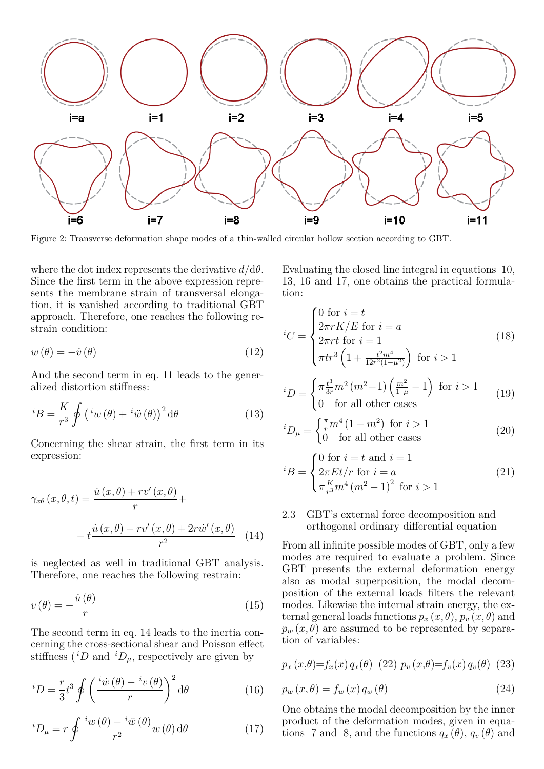

Figure 2: Transverse deformation shape modes of a thin-walled circular hollow section according to GBT.

where the dot index represents the derivative  $d/d\theta$ . Since the first term in the above expression represents the membrane strain of transversal elongation, it is vanished according to traditional GBT approach. Therefore, one reaches the following restrain condition:

$$
w(\theta) = -\dot{v}(\theta) \tag{12}
$$

And the second term in eq. 11 leads to the generalized distortion stiffness:

$$
{}^{i}B = \frac{K}{r^{3}} \oint \left( {}^{i}w(\theta) + {}^{i}\ddot{w}(\theta) \right)^{2} d\theta \tag{13}
$$

Concerning the shear strain, the first term in its expression:

$$
\gamma_{x\theta}(x,\theta,t) = \frac{\dot{u}(x,\theta) + rv'(x,\theta)}{r} +
$$

$$
-t\frac{\dot{u}(x,\theta) - rv'(x,\theta) + 2r\dot{w}'(x,\theta)}{r^2} \quad (14)
$$

is neglected as well in traditional GBT analysis. Therefore, one reaches the following restrain:

$$
v(\theta) = -\frac{\dot{u}(\theta)}{r} \tag{15}
$$

The second term in eq. 14 leads to the inertia concerning the cross-sectional shear and Poisson effect stiffness ( ${}^{i}D$  and  ${}^{i}D_{\mu}$ , respectively are given by

$$
{}^{i}D = \frac{r}{3}t^3 \oint \left(\frac{{}^{i}\dot{w}\left(\theta\right) - {}^{i}v\left(\theta\right)}{r}\right)^2 d\theta \tag{16}
$$

$$
{}^{i}D_{\mu} = r \oint \frac{{}^{i}w(\theta) + {}^{i}\ddot{w}(\theta)}{r^{2}} w(\theta) d\theta \qquad (17)
$$

Evaluating the closed line integral in equations 10, 13, 16 and 17, one obtains the practical formulation:

$$
{}^{i}C = \begin{cases} 0 \text{ for } i = t \\ 2\pi r K/E \text{ for } i = a \\ 2\pi r t \text{ for } i = 1 \\ \pi t r^{3} \left(1 + \frac{t^{2} m^{4}}{12r^{2} (1 - \mu^{2})}\right) \text{ for } i > 1 \end{cases}
$$
(18)

$$
{}^{i}D = \begin{cases} \pi \frac{t^3}{3r} m^2 (m^2 - 1) \left( \frac{m^2}{1 - \mu} - 1 \right) & \text{for } i > 1\\ 0 & \text{for all other cases} \end{cases}
$$
(19)

$$
{}^{i}D_{\mu} = \begin{cases} \frac{\pi}{r} m^{4} (1 - m^{2}) & \text{for } i > 1 \\ 0 & \text{for all other cases} \end{cases}
$$
 (20)

$$
{}^{i}B = \begin{cases} 0 \text{ for } i = t \text{ and } i = 1 \\ 2\pi E t / r \text{ for } i = a \\ \pi \frac{K}{r^3} m^4 (m^2 - 1)^2 \text{ for } i > 1 \end{cases}
$$
(21)

## 2.3 GBT's external force decomposition and orthogonal ordinary differential equation

From all infinite possible modes of GBT, only a few modes are required to evaluate a problem. Since GBT presents the external deformation energy also as modal superposition, the modal decomposition of the external loads filters the relevant modes. Likewise the internal strain energy, the external general loads functions  $p_x(x, \theta)$ ,  $p_y(x, \theta)$  and  $p_w(x, \theta)$  are assumed to be represented by separation of variables:

$$
p_x(x,\theta) = f_x(x) q_x(\theta) \quad (22) \ p_v(x,\theta) = f_v(x) q_v(\theta) \quad (23)
$$

$$
p_w(x,\theta) = f_w(x) q_w(\theta)
$$
\n(24)

One obtains the modal decomposition by the inner product of the deformation modes, given in equations 7 and 8, and the functions  $q_x(\theta)$ ,  $q_v(\theta)$  and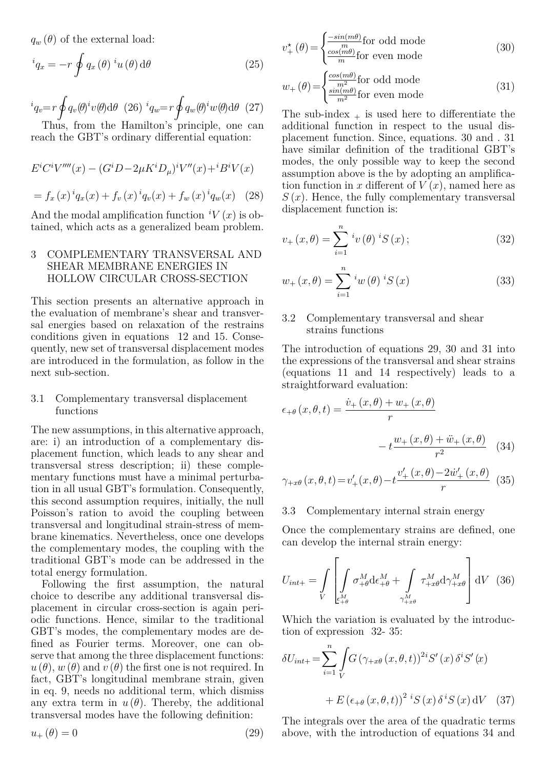$q_w(\theta)$  of the external load:

$$
{}^{i}q_{x} = -r \oint q_{x}(\theta) \, {}^{i}u(\theta) \, d\theta \tag{25}
$$

$$
{}^{i}q_{v} = r \oint q_{v}(\theta) {}^{i}v(\theta) d\theta \quad (26) \, {}^{i}q_{w} = r \oint q_{w}(\theta) {}^{i}w(\theta) d\theta \quad (27)
$$

Thus, from the Hamilton's principle, one can reach the GBT's ordinary differential equation:

$$
E^{i}C^{i}V''''(x) - (G^{i}D - 2\mu K^{i}D_{\mu})^{i}V''(x) + {^{i}B^{i}}V(x)
$$

$$
= f_{x}(x)^{i}q_{x}(x) + f_{v}(x)^{i}q_{v}(x) + f_{w}(x)^{i}q_{w}(x) \quad (28)
$$

And the modal amplification function  ${}^{i}V(x)$  is obtained, which acts as a generalized beam problem.

# 3 COMPLEMENTARY TRANSVERSAL AND SHEAR MEMBRANE ENERGIES IN HOLLOW CIRCULAR CROSS-SECTION

This section presents an alternative approach in the evaluation of membrane's shear and transversal energies based on relaxation of the restrains conditions given in equations 12 and 15. Consequently, new set of transversal displacement modes are introduced in the formulation, as follow in the next sub-section.

### 3.1 Complementary transversal displacement functions

The new assumptions, in this alternative approach, are: i) an introduction of a complementary displacement function, which leads to any shear and transversal stress description; ii) these complementary functions must have a minimal perturbation in all usual GBT's formulation. Consequently, this second assumption requires, initially, the null Poisson's ration to avoid the coupling between transversal and longitudinal strain-stress of membrane kinematics. Nevertheless, once one develops the complementary modes, the coupling with the traditional GBT's mode can be addressed in the total energy formulation.

Following the first assumption, the natural choice to describe any additional transversal displacement in circular cross-section is again periodic functions. Hence, similar to the traditional GBT's modes, the complementary modes are defined as Fourier terms. Moreover, one can observe that among the three displacement functions:  $u(\theta)$ ,  $w(\theta)$  and  $v(\theta)$  the first one is not required. In fact, GBT's longitudinal membrane strain, given in eq. 9, needs no additional term, which dismiss any extra term in  $u(\theta)$ . Thereby, the additional transversal modes have the following definition:

$$
u_{+}(\theta) = 0 \tag{29}
$$

$$
v_{+}^{*}(\theta) = \begin{cases} \frac{-\sin(m\theta)}{m} \text{for odd mode} \\ \frac{\cos(m\theta)}{m} \text{for even mode} \end{cases}
$$
 (30)

$$
w_{+}(\theta) = \begin{cases} \frac{\cos(m\theta)}{m^{2}} & \text{for odd mode} \\ \frac{\sin(m\theta)}{m^{2}} & \text{for even mode} \end{cases}
$$
 (31)

The sub-index  $_{+}$  is used here to differentiate the additional function in respect to the usual displacement function. Since, equations. 30 and . 31 have similar definition of the traditional GBT's modes, the only possible way to keep the second assumption above is the by adopting an amplification function in *x* different of  $V(x)$ , named here as  $S(x)$ . Hence, the fully complementary transversal displacement function is:

$$
v_{+}(x,\theta) = \sum_{i=1}^{n} {}^{i}v(\theta) {}^{i}S(x); \qquad (32)
$$

$$
w_{+}(x,\theta) = \sum_{i=1}^{n} {}^{i}w(\theta) {}^{i}S(x)
$$
 (33)

## 3.2 Complementary transversal and shear strains functions

The introduction of equations 29, 30 and 31 into the expressions of the transversal and shear strains (equations 11 and 14 respectively) leads to a straightforward evaluation:

$$
\epsilon_{+\theta}(x,\theta,t) = \frac{\dot{v}_+(x,\theta) + w_+(x,\theta)}{r}
$$

$$
-t \frac{w_+(x,\theta) + \ddot{w}_+(x,\theta)}{r^2} \quad (34)
$$

$$
\gamma_{+x\theta}(x,\theta,t) = v'_+(x,\theta) - t \frac{v'_+(x,\theta) - 2\dot{w}'_+(x,\theta)}{r}
$$
 (35)

### 3.3 Complementary internal strain energy

Once the complementary strains are defined, one can develop the internal strain energy:

$$
U_{int+} = \int\limits_{V} \left[ \int\limits_{\epsilon_{+\theta}^{M}} \sigma_{+\theta}^{M} d\epsilon_{+\theta}^{M} + \int\limits_{\gamma_{+x\theta}^{M}} \tau_{+x\theta}^{M} d\gamma_{+x\theta}^{M} \right] dV \quad (36)
$$

Which the variation is evaluated by the introduction of expression 32- 35:

$$
\delta U_{int+} = \sum_{i=1}^{n} \int_{V} G(\gamma_{+x\theta}(x,\theta,t))^{2i} S'(x) \delta^{i} S'(x)
$$

$$
+ E(\epsilon_{+\theta}(x,\theta,t))^{2 i} S(x) \delta^{i} S(x) dV \quad (37)
$$

The integrals over the area of the quadratic terms above, with the introduction of equations 34 and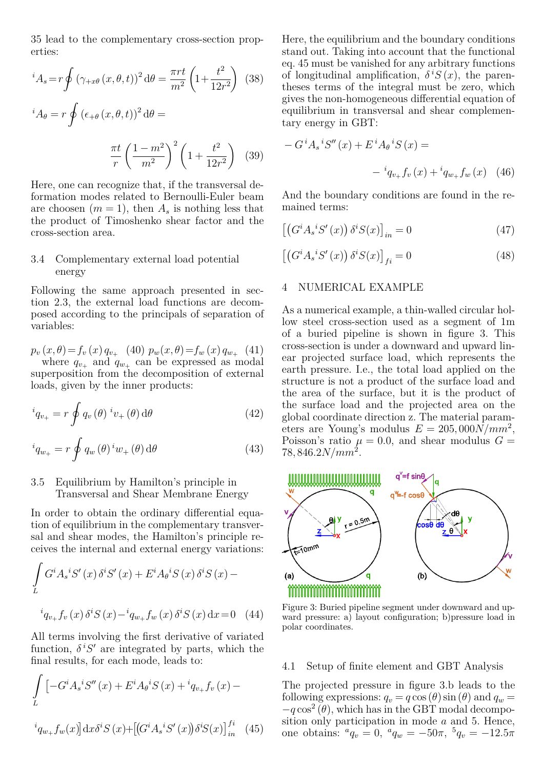35 lead to the complementary cross-section properties:

$$
{}^{i}A_{s} = r \oint \left(\gamma_{+x\theta}\left(x,\theta,t\right)\right)^{2} d\theta = \frac{\pi rt}{m^{2}} \left(1 + \frac{t^{2}}{12r^{2}}\right) \tag{38}
$$
  

$$
{}^{i}A_{\theta} = r \oint \left(\epsilon_{+\theta}\left(x,\theta,t\right)\right)^{2} d\theta =
$$
  

$$
\frac{\pi t}{r} \left(\frac{1-m^{2}}{m^{2}}\right)^{2} \left(1 + \frac{t^{2}}{12r^{2}}\right) \tag{39}
$$

Here, one can recognize that, if the transversal deformation modes related to Bernoulli-Euler beam are choosen  $(m = 1)$ , then  $A_s$  is nothing less that the product of Timoshenko shear factor and the cross-section area.

### 3.4 Complementary external load potential energy

Following the same approach presented in section 2.3, the external load functions are decomposed according to the principals of separation of variables:

 $p_v(x, \theta) = f_v(x) q_{v_+}$  (40)  $p_w(x, \theta) = f_w(x) q_{w_+}$  (41) where  $q_{v_+}$  and  $q_{w_+}$  can be expressed as modal superposition from the decomposition of external loads, given by the inner products:

$$
{}^{i}q_{v_{+}} = r \oint q_{v}(\theta) \, {}^{i}v_{+}(\theta) \, d\theta \tag{42}
$$

$$
{}^{i}q_{w_{+}} = r \oint q_{w}(\theta) {}^{i}w_{+}(\theta) d\theta \qquad (43)
$$

# 3.5 Equilibrium by Hamilton's principle in Transversal and Shear Membrane Energy

In order to obtain the ordinary differential equation of equilibrium in the complementary transversal and shear modes, the Hamilton's principle receives the internal and external energy variations:

$$
\int_{L} G^{i} A_{s}{}^{i} S'(x) \delta^{i} S'(x) + E^{i} A_{\theta}{}^{i} S(x) \delta^{i} S(x) -
$$

$$
{}^{i} q_{v+} f_{v}(x) \delta^{i} S(x) - {}^{i} q_{w+} f_{w}(x) \delta^{i} S(x) dx = 0 \quad (44)
$$

All terms involving the first derivative of variated function,  $\delta^{i}S'$  are integrated by parts, which the final results, for each mode, leads to:

$$
\int_{L} \left[ -G^{i} A_{s}^{i} S''(x) + E^{i} A_{\theta}^{i} S(x) + {}^{i}q_{v_{+}} f_{v}(x) - \right.
$$

$$
{}^{i}q_{w_{+}} f_{w}(x) \right] dx \delta^{i} S(x) + \left[ \left( G^{i} A_{s}^{i} S'(x) \right) \delta^{i} S(x) \right]_{in}^{fi} \tag{45}
$$

Here, the equilibrium and the boundary conditions stand out. Taking into account that the functional eq. 45 must be vanished for any arbitrary functions of longitudinal amplification,  $\delta^{i}S(x)$ , the parentheses terms of the integral must be zero, which gives the non-homogeneous differential equation of equilibrium in transversal and shear complementary energy in GBT:

$$
- G^{i} A_{s}{}^{i} S''(x) + E^{i} A_{\theta}{}^{i} S(x) =
$$
  

$$
- {}^{i}q_{v+} f_{v}(x) + {}^{i}q_{w+} f_{w}(x) \quad (46)
$$

And the boundary conditions are found in the remained terms:

$$
\left[ \left( G^{i} A_{s}^{i} S'(x) \right) \delta^{i} S(x) \right]_{in} = 0 \tag{47}
$$

$$
\left[ \left( G^{i} A_{s}{}^{i} S'(x) \right) \delta^{i} S(x) \right]_{fi} = 0 \tag{48}
$$

### 4 NUMERICAL EXAMPLE

As a numerical example, a thin-walled circular hollow steel cross-section used as a segment of 1m of a buried pipeline is shown in figure 3. This cross-section is under a downward and upward linear projected surface load, which represents the earth pressure. I.e., the total load applied on the structure is not a product of the surface load and the area of the surface, but it is the product of the surface load and the projected area on the global coordinate direction z. The material parameters are Young's modulus  $E = 205,000 \text{N/mm}^2$ , Poisson's ratio  $\mu = 0.0$ , and shear modulus  $G =$ 78*,* 846*.*2*N/mm*<sup>2</sup> .



Figure 3: Buried pipeline segment under downward and upward pressure: a) layout configuration; b)pressure load in polar coordinates.

#### 4.1 Setup of finite element and GBT Analysis

The projected pressure in figure 3.b leads to the following expressions:  $q_v = q \cos(\theta) \sin(\theta)$  and  $q_w =$  $-q \cos^2(\theta)$ , which has in the GBT modal decomposition only participation in mode *a* and 5. Hence, one obtains:  ${}^a q_v = 0$ ,  ${}^a q_w = -50\pi$ ,  ${}^5 q_v = -12.5\pi$